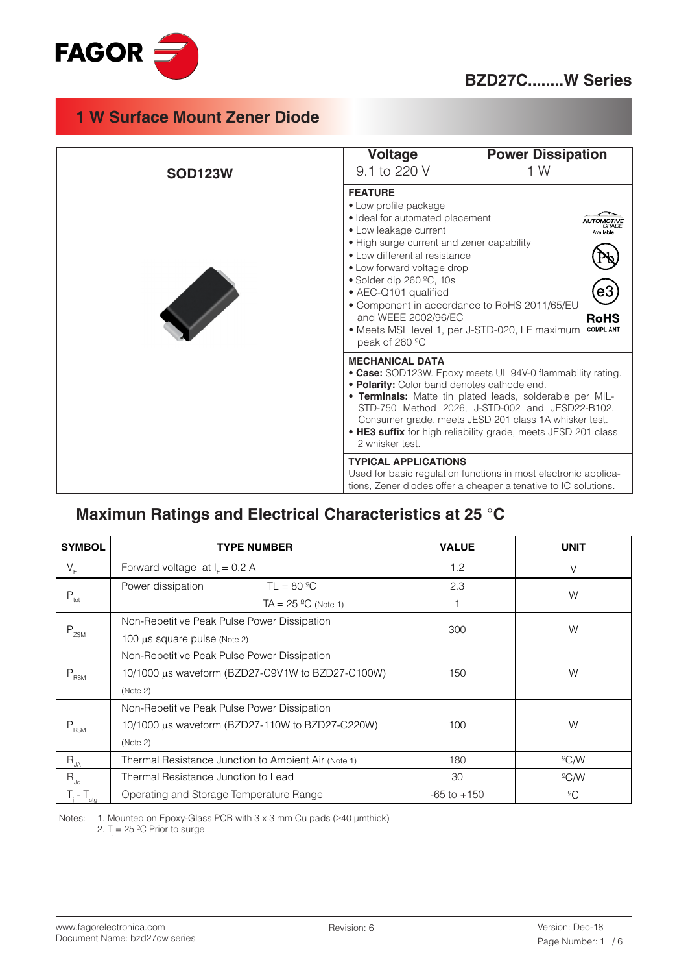

### **BZD27C........W Series**

# **1 W Surface Mount Zener Diode**

| <b>SOD123W</b> | <b>Power Dissipation</b><br><b>Voltage</b><br>9.1 to 220 V<br>1 W                                                                                                                                                                                                                                                                                                                                                                                                                 |
|----------------|-----------------------------------------------------------------------------------------------------------------------------------------------------------------------------------------------------------------------------------------------------------------------------------------------------------------------------------------------------------------------------------------------------------------------------------------------------------------------------------|
|                | <b>FEATURE</b><br>· Low profile package<br>· Ideal for automated placement<br>GRADI<br>• Low leakage current<br>Avallable<br>• High surge current and zener capability<br>• Low differential resistance<br>• Low forward voltage drop<br>• Solder dip 260 $°C$ , 10s<br>e3,<br>• AEC-Q101 qualified<br>• Component in accordance to RoHS 2011/65/EU<br>and WEEE 2002/96/EC<br><b>RoHS</b><br>• Meets MSL level 1, per J-STD-020, LF maximum<br><b>COMPLIANT</b><br>peak of 260 °C |
|                | <b>MECHANICAL DATA</b><br>• Case: SOD123W. Epoxy meets UL 94V-0 flammability rating.<br>. Polarity: Color band denotes cathode end.<br>. Terminals: Matte tin plated leads, solderable per MIL-<br>STD-750 Method 2026, J-STD-002 and JESD22-B102.<br>Consumer grade, meets JESD 201 class 1A whisker test.<br>. HE3 suffix for high reliability grade, meets JESD 201 class<br>2 whisker test.                                                                                   |
|                | <b>TYPICAL APPLICATIONS</b><br>Used for basic regulation functions in most electronic applica-<br>tions, Zener diodes offer a cheaper altenative to IC solutions.                                                                                                                                                                                                                                                                                                                 |

# **Maximun Ratings and Electrical Characteristics at 25 °C**

| <b>SYMBOL</b>            | <b>TYPE NUMBER</b>                                  | <b>VALUE</b>    | <b>UNIT</b>     |  |
|--------------------------|-----------------------------------------------------|-----------------|-----------------|--|
| $V_F$                    | Forward voltage at $IF = 0.2 A$                     | 1.2             |                 |  |
|                          | Power dissipation<br>$TL = 80 °C$                   | 2.3             | W               |  |
| $P_{\text{tot}}$         | TA = $25 \text{ }^{\circ}C$ (Note 1)                |                 |                 |  |
|                          | Non-Repetitive Peak Pulse Power Dissipation         | 300             | W               |  |
| $P_{ZSM}$                | 100 µs square pulse (Note 2)                        |                 |                 |  |
|                          | Non-Repetitive Peak Pulse Power Dissipation         |                 | W               |  |
| $P_{\rm RSM}$            | 10/1000 µs waveform (BZD27-C9V1W to BZD27-C100W)    | 150             |                 |  |
|                          | (Note 2)                                            |                 |                 |  |
|                          | Non-Repetitive Peak Pulse Power Dissipation         |                 |                 |  |
| $P_{\rm RSM}$            | 10/1000 μs waveform (BZD27-110W to BZD27-C220W)     | 100             | W               |  |
|                          | (Note 2)                                            |                 |                 |  |
| $R_{JA}$                 | Thermal Resistance Junction to Ambient Air (Note 1) | 180             | $\rm{C}/\rm{W}$ |  |
| $\mathsf{R}_{\text{Jc}}$ | Thermal Resistance Junction to Lead                 | 30              | $^{\circ}$ C/W  |  |
| $T_i - T_{sta}$          | Operating and Storage Temperature Range             | $-65$ to $+150$ | $\overline{C}$  |  |

Notes: 1. Mounted on Epoxy-Glass PCB with 3 x 3 mm Cu pads (≥40 µmthick)

2.  $T_i = 25 \, \text{°C}$  Prior to surge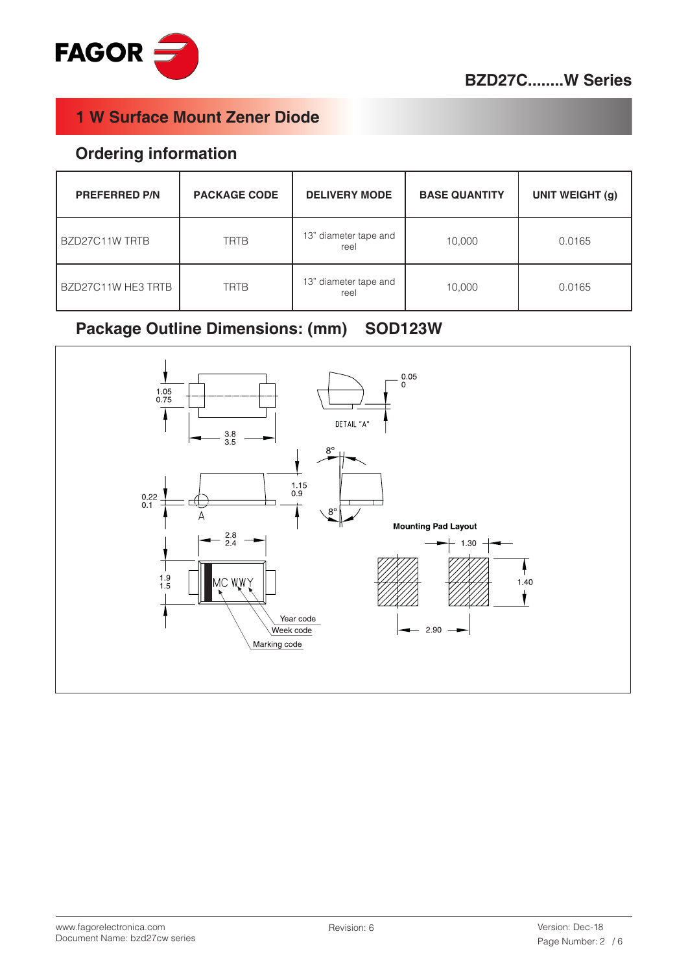

#### **Ordering information**

| <b>PREFERRED P/N</b> | <b>PACKAGE CODE</b> | <b>DELIVERY MODE</b>          | <b>BASE QUANTITY</b> | <b>UNIT WEIGHT (g)</b> |
|----------------------|---------------------|-------------------------------|----------------------|------------------------|
| BZD27C11W TRTB       | <b>TRTB</b>         | 13" diameter tape and<br>reel | 10,000               | 0.0165                 |
| BZD27C11W HE3 TRTB   | <b>TRTB</b>         | 13" diameter tape and<br>reel | 10,000               | 0.0165                 |

# **Package Outline Dimensions: (mm) SOD123W**

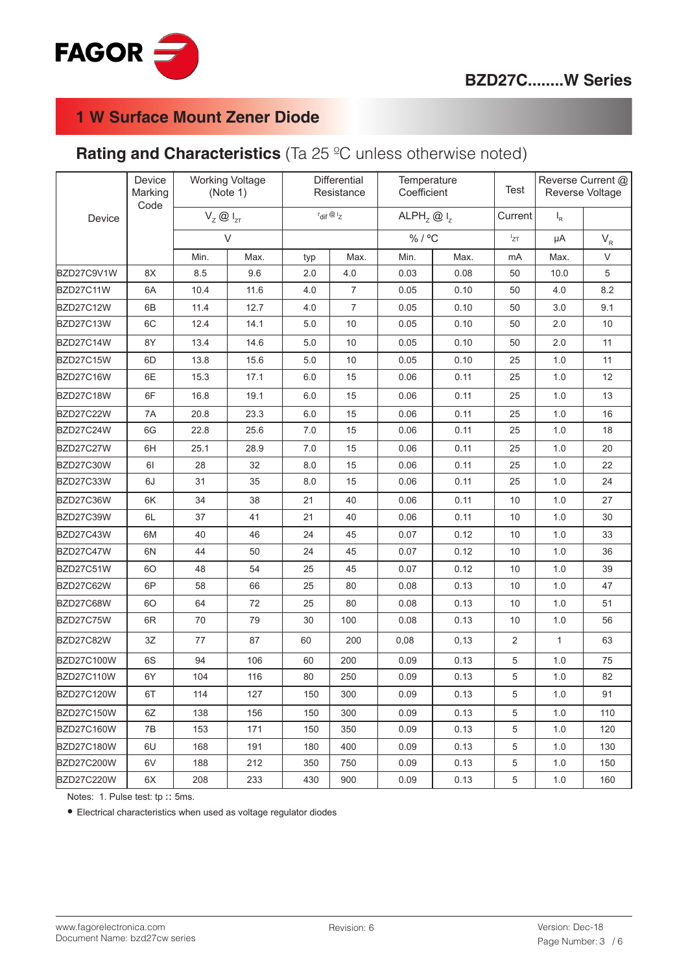

# **Rating and Characteristics** (Ta 25 ºC unless otherwise noted)

| Device<br>Marking<br>Code |    | <b>Working Voltage</b><br>(Note 1) |        | <b>Differential</b><br>Resistance |                                | Temperature<br>Coefficient |      | <b>Test</b> | Reverse Current @<br>Reverse Voltage |        |
|---------------------------|----|------------------------------------|--------|-----------------------------------|--------------------------------|----------------------------|------|-------------|--------------------------------------|--------|
| Device                    |    | $V_z \otimes I_{zT}$               |        |                                   | $r_{\text{dif}} \otimes r_{Z}$ | ALPH <sub>z</sub> $@I_z$   |      | Current     | $I_R$                                |        |
|                           |    |                                    | $\vee$ |                                   |                                | %/°C                       |      | $I_{ZT}$    | μA                                   | $V_R$  |
|                           |    | Min.                               | Max.   | typ                               | Max.                           | Min.                       | Max. | mA          | Max.                                 | $\vee$ |
| BZD27C9V1W                | 8X | 8.5                                | 9.6    | 2.0                               | 4.0                            | 0.03                       | 0.08 | 50          | 10.0                                 | 5      |
| BZD27C11W                 | 6A | 10.4                               | 11.6   | 4.0                               | $\overline{7}$                 | 0.05                       | 0.10 | 50          | 4.0                                  | 8.2    |
| BZD27C12W                 | 6B | 11.4                               | 12.7   | 4.0                               | $\overline{7}$                 | 0.05                       | 0.10 | 50          | 3.0                                  | 9.1    |
| BZD27C13W                 | 6C | 12.4                               | 14.1   | $5.0$                             | 10                             | 0.05                       | 0.10 | 50          | 2.0                                  | 10     |
| BZD27C14W                 | 8Y | 13.4                               | 14.6   | 5.0                               | 10                             | 0.05                       | 0.10 | 50          | 2.0                                  | 11     |
| BZD27C15W                 | 6D | 13.8                               | 15.6   | 5.0                               | 10                             | 0.05                       | 0.10 | 25          | 1.0                                  | 11     |
| BZD27C16W                 | 6E | 15.3                               | 17.1   | 6.0                               | 15                             | 0.06                       | 0.11 | 25          | 1.0                                  | 12     |
| BZD27C18W                 | 6F | 16.8                               | 19.1   | 6.0                               | 15                             | 0.06                       | 0.11 | 25          | 1.0                                  | 13     |
| BZD27C22W                 | 7A | 20.8                               | 23.3   | 6.0                               | 15                             | 0.06                       | 0.11 | 25          | 1.0                                  | 16     |
| BZD27C24W                 | 6G | 22.8                               | 25.6   | 7.0                               | 15                             | 0.06                       | 0.11 | 25          | 1.0                                  | 18     |
| BZD27C27W                 | 6H | 25.1                               | 28.9   | 7.0                               | 15                             | 0.06                       | 0.11 | 25          | 1.0                                  | 20     |
| BZD27C30W                 | 61 | 28                                 | 32     | 8.0                               | 15                             | 0.06                       | 0.11 | 25          | 1.0                                  | 22     |
| BZD27C33W                 | 6J | 31                                 | 35     | 8.0                               | 15                             | 0.06                       | 0.11 | 25          | 1.0                                  | 24     |
| BZD27C36W                 | 6K | 34                                 | 38     | 21                                | 40                             | 0.06                       | 0.11 | 10          | 1.0                                  | 27     |
| BZD27C39W                 | 6L | 37                                 | 41     | 21                                | 40                             | 0.06                       | 0.11 | 10          | 1.0                                  | 30     |
| BZD27C43W                 | 6M | 40                                 | 46     | 24                                | 45                             | 0.07                       | 0.12 | 10          | 1.0                                  | 33     |
| BZD27C47W                 | 6N | 44                                 | 50     | 24                                | 45                             | 0.07                       | 0.12 | 10          | 1.0                                  | 36     |
| BZD27C51W                 | 60 | 48                                 | 54     | 25                                | 45                             | 0.07                       | 0.12 | 10          | 1.0                                  | 39     |
| BZD27C62W                 | 6P | 58                                 | 66     | 25                                | 80                             | 0.08                       | 0.13 | 10          | 1.0                                  | 47     |
| BZD27C68W                 | 60 | 64                                 | 72     | 25                                | 80                             | 0.08                       | 0.13 | 10          | 1.0                                  | 51     |
| BZD27C75W                 | 6R | 70                                 | 79     | 30                                | 100                            | 0.08                       | 0.13 | 10          | 1.0                                  | 56     |
| BZD27C82W                 | 3Z | 77                                 | 87     | 60                                | 200                            | 0,08                       | 0.13 | 2           | $\mathbf{1}$                         | 63     |
| BZD27C100W                | 6S | 94                                 | 106    | 60                                | 200                            | 0.09                       | 0.13 | $\,$ 5 $\,$ | 1.0                                  | 75     |
| <b>BZD27C110W</b>         | 6Y | 104                                | 116    | 80                                | 250                            | 0.09                       | 0.13 | 5           | 1.0                                  | 82     |
| <b>BZD27C120W</b>         | 6T | 114                                | 127    | 150                               | 300                            | 0.09                       | 0.13 | 5           | 1.0                                  | 91     |
| <b>BZD27C150W</b>         | 6Z | 138                                | 156    | 150                               | 300                            | 0.09                       | 0.13 | 5           | 1.0                                  | 110    |
| BZD27C160W                | 7B | 153                                | 171    | 150                               | 350                            | 0.09                       | 0.13 | 5           | 1.0                                  | 120    |
| BZD27C180W                | 6U | 168                                | 191    | 180                               | 400                            | 0.09                       | 0.13 | 5           | 1.0                                  | 130    |
| BZD27C200W                | 6V | 188                                | 212    | 350                               | 750                            | 0.09                       | 0.13 | 5           | 1.0                                  | 150    |
| <b>BZD27C220W</b>         | 6X | 208                                | 233    | 430                               | 900                            | 0.09                       | 0.13 | $\,$ 5 $\,$ | $1.0\,$                              | 160    |

Notes: 1. Pulse test: tp :: 5ms.

• Electrical characteristics when used as voltage regulator diodes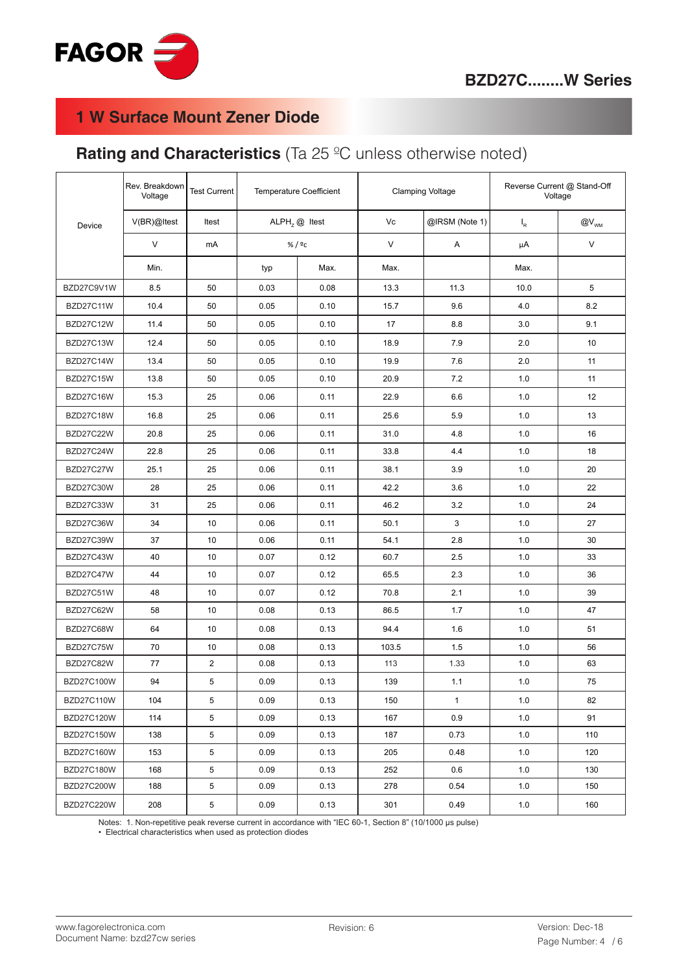

# **Rating and Characteristics** (Ta 25 ºC unless otherwise noted)

|                   | Rev. Breakdown<br>Voltage | Test Current   | <b>Temperature Coefficient</b> |      | <b>Clamping Voltage</b> |                | Reverse Current @ Stand-Off<br>Voltage |                                 |
|-------------------|---------------------------|----------------|--------------------------------|------|-------------------------|----------------|----------------------------------------|---------------------------------|
| Device            | V(BR)@Itest               | Itest          | $ALPHz @$ Itest                |      | Vc                      | @IRSM (Note 1) | $I_R$                                  | $@V_{\scriptscriptstyle\rm WM}$ |
|                   | V                         | mA             | % / $c$                        |      | V                       | Α              | μA                                     | V                               |
|                   | Min.                      |                | typ                            | Max. | Max.                    |                | Max.                                   |                                 |
| BZD27C9V1W        | 8.5                       | 50             | 0.03                           | 0.08 | 13.3                    | 11.3           | 10.0                                   | 5                               |
| BZD27C11W         | 10.4                      | 50             | 0.05                           | 0.10 | 15.7                    | 9.6            | 4.0                                    | 8.2                             |
| BZD27C12W         | 11.4                      | 50             | 0.05                           | 0.10 | 17                      | 8.8            | 3.0                                    | 9.1                             |
| BZD27C13W         | 12.4                      | 50             | 0.05                           | 0.10 | 18.9                    | 7.9            | 2.0                                    | 10                              |
| BZD27C14W         | 13.4                      | 50             | 0.05                           | 0.10 | 19.9                    | 7.6            | 2.0                                    | 11                              |
| BZD27C15W         | 13.8                      | 50             | 0.05                           | 0.10 | 20.9                    | 7.2            | 1.0                                    | 11                              |
| BZD27C16W         | 15.3                      | 25             | 0.06                           | 0.11 | 22.9                    | 6.6            | 1.0                                    | 12                              |
| BZD27C18W         | 16.8                      | 25             | 0.06                           | 0.11 | 25.6                    | 5.9            | 1.0                                    | 13                              |
| <b>BZD27C22W</b>  | 20.8                      | 25             | 0.06                           | 0.11 | 31.0                    | 4.8            | 1.0                                    | 16                              |
| BZD27C24W         | 22.8                      | 25             | 0.06                           | 0.11 | 33.8                    | 4.4            | 1.0                                    | 18                              |
| BZD27C27W         | 25.1                      | 25             | 0.06                           | 0.11 | 38.1                    | 3.9            | 1.0                                    | 20                              |
| BZD27C30W         | 28                        | 25             | 0.06                           | 0.11 | 42.2                    | 3.6            | 1.0                                    | 22                              |
| BZD27C33W         | 31                        | 25             | 0.06                           | 0.11 | 46.2                    | 3.2            | 1.0                                    | 24                              |
| BZD27C36W         | 34                        | 10             | 0.06                           | 0.11 | 50.1                    | 3              | 1.0                                    | 27                              |
| BZD27C39W         | 37                        | 10             | 0.06                           | 0.11 | 54.1                    | 2.8            | 1.0                                    | 30                              |
| BZD27C43W         | 40                        | 10             | 0.07                           | 0.12 | 60.7                    | 2.5            | 1.0                                    | 33                              |
| BZD27C47W         | 44                        | 10             | 0.07                           | 0.12 | 65.5                    | 2.3            | 1.0                                    | 36                              |
| BZD27C51W         | 48                        | 10             | 0.07                           | 0.12 | 70.8                    | 2.1            | 1.0                                    | 39                              |
| BZD27C62W         | 58                        | 10             | 0.08                           | 0.13 | 86.5                    | 1.7            | 1.0                                    | 47                              |
| BZD27C68W         | 64                        | 10             | 0.08                           | 0.13 | 94.4                    | 1.6            | 1.0                                    | 51                              |
| BZD27C75W         | 70                        | 10             | 0.08                           | 0.13 | 103.5                   | 1.5            | 1.0                                    | 56                              |
| BZD27C82W         | 77                        | $\overline{2}$ | 0.08                           | 0.13 | 113                     | 1.33           | 1.0                                    | 63                              |
| BZD27C100W        | 94                        | 5              | 0.09                           | 0.13 | 139                     | 1.1            | 1.0                                    | 75                              |
| BZD27C110W        | 104                       | 5              | 0.09                           | 0.13 | 150                     | $\mathbf{1}$   | 1.0                                    | 82                              |
| <b>BZD27C120W</b> | 114                       | 5              | 0.09                           | 0.13 | 167                     | 0.9            | 1.0                                    | 91                              |
| <b>BZD27C150W</b> | 138                       | 5              | 0.09                           | 0.13 | 187                     | 0.73           | 1.0                                    | 110                             |
| <b>BZD27C160W</b> | 153                       | 5              | 0.09                           | 0.13 | 205                     | 0.48           | 1.0                                    | 120                             |
| <b>BZD27C180W</b> | 168                       | 5              | 0.09                           | 0.13 | 252                     | 0.6            | 1.0                                    | 130                             |
| BZD27C200W        | 188                       | 5              | 0.09                           | 0.13 | 278                     | 0.54           | 1.0                                    | 150                             |
| <b>BZD27C220W</b> | 208                       | 5              | 0.09                           | 0.13 | 301                     | 0.49           | 1.0                                    | 160                             |

Notes: 1. Non-repetitive peak reverse current in accordance with "IEC 60-1, Section 8" (10/1000 µs pulse)

• Electrical characteristics when used as protection diodes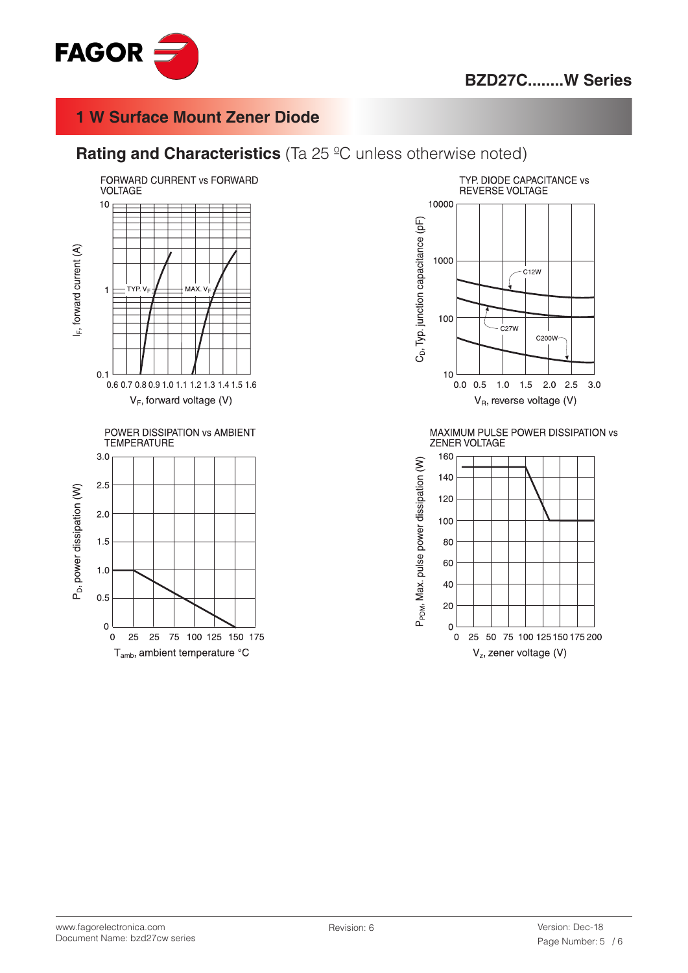

#### **Rating and Characteristics** (Ta 25 °C unless otherwise noted)





MAXIMUM PULSE POWER DISSIPATION vs ZENER VOLTAGE